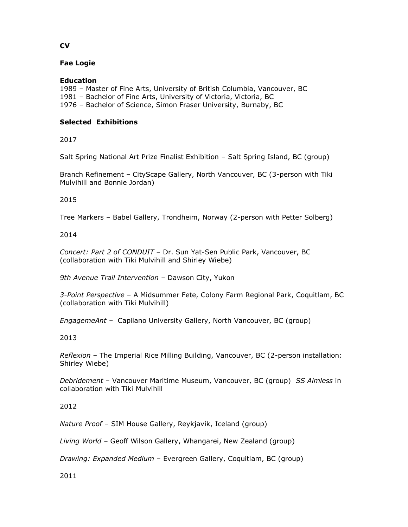# **Fae Logie**

### **Education**

- 1989 Master of Fine Arts, University of British Columbia, Vancouver, BC
- 1981 Bachelor of Fine Arts, University of Victoria, Victoria, BC
- 1976 Bachelor of Science, Simon Fraser University, Burnaby, BC

### **Selected Exhibitions**

2017

Salt Spring National Art Prize Finalist Exhibition – Salt Spring Island, BC (group)

Branch Refinement – CityScape Gallery, North Vancouver, BC (3-person with Tiki Mulvihill and Bonnie Jordan)

# 2015

Tree Markers – Babel Gallery, Trondheim, Norway (2-person with Petter Solberg)

# 2014

*Concert: Part 2 of CONDUIT* – Dr. Sun Yat-Sen Public Park, Vancouver, BC (collaboration with Tiki Mulvihill and Shirley Wiebe)

*9th Avenue Trail Intervention* – Dawson City, Yukon

*3-Point Perspective –* A Midsummer Fete, Colony Farm Regional Park, Coquitlam, BC (collaboration with Tiki Mulvihill)

*EngagemeAnt –* Capilano University Gallery, North Vancouver, BC (group)

# 2013

*Reflexion* – The Imperial Rice Milling Building, Vancouver, BC (2-person installation: Shirley Wiebe)

*Debridement* – Vancouver Maritime Museum, Vancouver, BC (group) *SS Aimless* in collaboration with Tiki Mulvihill

# 2012

*Nature Proof* – SIM House Gallery, Reykjavik, Iceland (group)

*Living World* – Geoff Wilson Gallery, Whangarei, New Zealand (group)

*Drawing: Expanded Medium* – Evergreen Gallery, Coquitlam, BC (group)

2011

# **CV**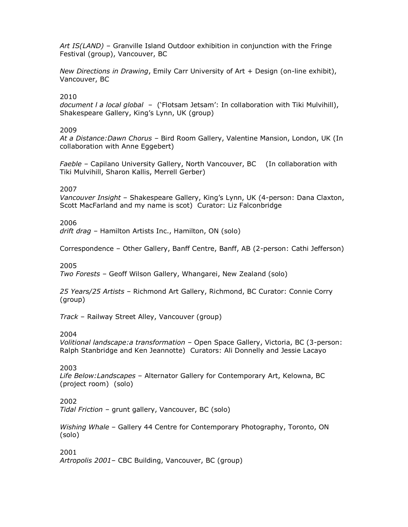*Art IS(LAND)* – Granville Island Outdoor exhibition in conjunction with the Fringe Festival (group), Vancouver, BC

*New Directions in Drawing*, Emily Carr University of Art + Design (on-line exhibit), Vancouver, BC

### 2010

*document l a local global* – ('Flotsam Jetsam': In collaboration with Tiki Mulvihill), Shakespeare Gallery, King's Lynn, UK (group)

#### 2009

*At a Distance:Dawn Chorus* – Bird Room Gallery, Valentine Mansion, London, UK (In collaboration with Anne Eggebert)

*Faeble* – Capilano University Gallery, North Vancouver, BC (In collaboration with Tiki Mulvihill, Sharon Kallis, Merrell Gerber)

2007

*Vancouver Insight* – Shakespeare Gallery, King's Lynn, UK (4-person: Dana Claxton, Scott MacFarland and my name is scot) Curator: Liz Falconbridge

#### 2006

*drift drag* – Hamilton Artists Inc., Hamilton, ON (solo)

Correspondence – Other Gallery, Banff Centre, Banff, AB (2-person: Cathi Jefferson)

#### 2005

*Two Forests* – Geoff Wilson Gallery, Whangarei, New Zealand (solo)

*25 Years/25 Artists* – Richmond Art Gallery, Richmond, BC Curator: Connie Corry (group)

*Track* – Railway Street Alley, Vancouver (group)

2004

*Volitional landscape:a transformation* – Open Space Gallery, Victoria, BC (3-person: Ralph Stanbridge and Ken Jeannotte) Curators: Ali Donnelly and Jessie Lacayo

#### 2003

*Life Below:Landscapes* – Alternator Gallery for Contemporary Art, Kelowna, BC (project room) (solo)

### 2002

*Tidal Friction* – grunt gallery, Vancouver, BC (solo)

*Wishing Whale* – Gallery 44 Centre for Contemporary Photography, Toronto, ON (solo)

#### 2001

*Artropolis 2001*– CBC Building, Vancouver, BC (group)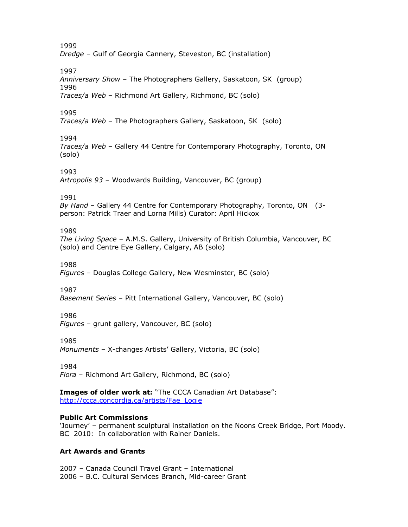1999 *Dredge* – Gulf of Georgia Cannery, Steveston, BC (installation)

1997

*Anniversary Show* – The Photographers Gallery, Saskatoon, SK (group) 1996 *Traces/a Web* – Richmond Art Gallery, Richmond, BC (solo)

1995

*Traces/a Web* – The Photographers Gallery, Saskatoon, SK (solo)

1994

*Traces/a Web* – Gallery 44 Centre for Contemporary Photography, Toronto, ON (solo)

1993

*Artropolis 93* – Woodwards Building, Vancouver, BC (group)

1991

*By Hand* – Gallery 44 Centre for Contemporary Photography, Toronto, ON (3 person: Patrick Traer and Lorna Mills) Curator: April Hickox

1989

*The Living Space* – A.M.S. Gallery, University of British Columbia, Vancouver, BC (solo) and Centre Eye Gallery, Calgary, AB (solo)

1988

*Figures* – Douglas College Gallery, New Wesminster, BC (solo)

1987

*Basement Series* – Pitt International Gallery, Vancouver, BC (solo)

1986

*Figures* – grunt gallery, Vancouver, BC (solo)

1985

*Monuments* – X-changes Artists' Gallery, Victoria, BC (solo)

1984

*Flora* – Richmond Art Gallery, Richmond, BC (solo)

**Images of older work at:** "The CCCA Canadian Art Database": [http://ccca.concordia.ca/artists/Fae\\_Logie](http://ccca.concordia.ca/artists/Fae_Logie)

# **Public Art Commissions**

'Journey' – permanent sculptural installation on the Noons Creek Bridge, Port Moody. BC 2010: In collaboration with Rainer Daniels.

# **Art Awards and Grants**

2007 – Canada Council Travel Grant – International 2006 – B.C. Cultural Services Branch, Mid-career Grant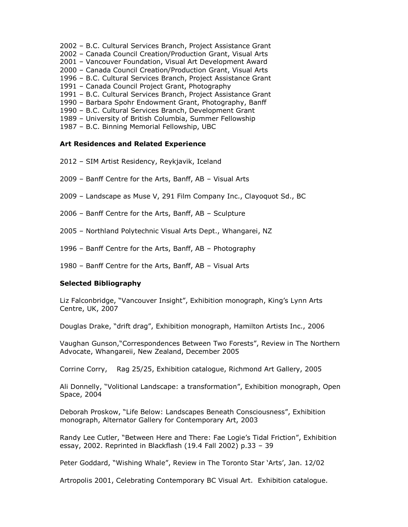- 2002 B.C. Cultural Services Branch, Project Assistance Grant
- 2002 Canada Council Creation/Production Grant, Visual Arts
- 2001 Vancouver Foundation, Visual Art Development Award
- 2000 Canada Council Creation/Production Grant, Visual Arts
- 1996 B.C. Cultural Services Branch, Project Assistance Grant
- 1991 Canada Council Project Grant, Photography
- 1991 B.C. Cultural Services Branch, Project Assistance Grant
- 1990 Barbara Spohr Endowment Grant, Photography, Banff
- 1990 B.C. Cultural Services Branch, Development Grant
- 1989 University of British Columbia, Summer Fellowship
- 1987 B.C. Binning Memorial Fellowship, UBC

### **Art Residences and Related Experience**

- 2012 SIM Artist Residency, Reykjavik, Iceland
- 2009 Banff Centre for the Arts, Banff, AB Visual Arts
- 2009 Landscape as Muse V, 291 Film Company Inc., Clayoquot Sd., BC
- 2006 Banff Centre for the Arts, Banff, AB Sculpture
- 2005 Northland Polytechnic Visual Arts Dept., Whangarei, NZ
- 1996 Banff Centre for the Arts, Banff, AB Photography
- 1980 Banff Centre for the Arts, Banff, AB Visual Arts

### **Selected Bibliography**

Liz Falconbridge, "Vancouver Insight", Exhibition monograph, King's Lynn Arts Centre, UK, 2007

Douglas Drake, "drift drag", Exhibition monograph, Hamilton Artists Inc., 2006

Vaughan Gunson,"Correspondences Between Two Forests", Review in The Northern Advocate, Whangareii, New Zealand, December 2005

Corrine Corry, Rag 25/25, Exhibition catalogue, Richmond Art Gallery, 2005

Ali Donnelly, "Volitional Landscape: a transformation", Exhibition monograph, Open Space, 2004

Deborah Proskow, "Life Below: Landscapes Beneath Consciousness", Exhibition monograph, Alternator Gallery for Contemporary Art, 2003

Randy Lee Cutler, "Between Here and There: Fae Logie's Tidal Friction", Exhibition essay, 2002. Reprinted in Blackflash (19.4 Fall 2002) p.33 – 39

Peter Goddard, "Wishing Whale", Review in The Toronto Star 'Arts', Jan. 12/02

Artropolis 2001, Celebrating Contemporary BC Visual Art. Exhibition catalogue.